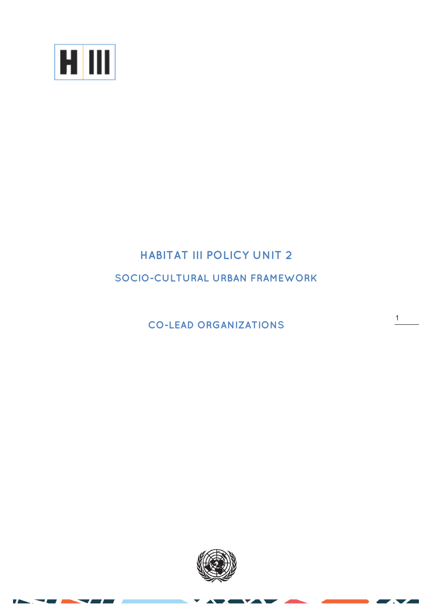

## **HABITAT III POLICY UNIT 2 SOCIO-CULTURAL URBAN FRAMEWORK**

**CO-LEAD ORGANIZATIONS**



1